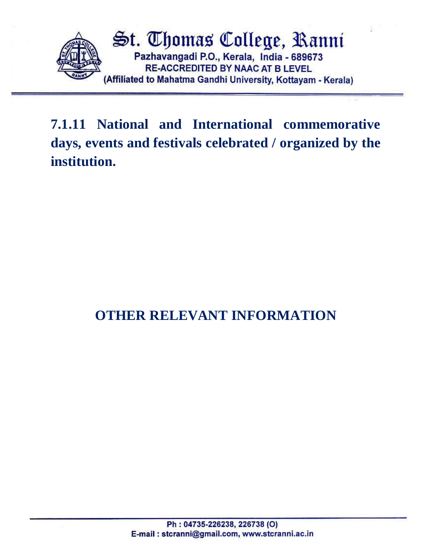

**7.1.11 National and International commemorative days, events and festivals celebrated / organized by the institution.**

## **OTHER RELEVANT INFORMATION**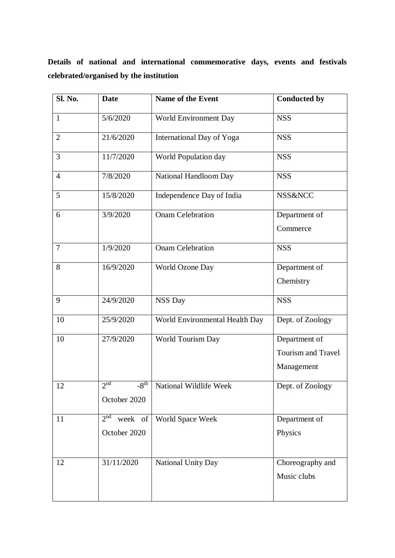**Details of national and international commemorative days, events and festivals celebrated/organised by the institution**

| Sl. No.        | <b>Date</b>                                             | <b>Name of the Event</b>       | <b>Conducted by</b>                                      |
|----------------|---------------------------------------------------------|--------------------------------|----------------------------------------------------------|
| $\mathbf{1}$   | 5/6/2020                                                | World Environment Day          | <b>NSS</b>                                               |
| $\overline{2}$ | 21/6/2020                                               | International Day of Yoga      | <b>NSS</b>                                               |
| 3              | 11/7/2020                                               | World Population day           | <b>NSS</b>                                               |
| $\overline{4}$ | 7/8/2020                                                | National Handloom Day          | <b>NSS</b>                                               |
| 5              | 15/8/2020                                               | Independence Day of India      | <b>NSS&amp;NCC</b>                                       |
| 6              | 3/9/2020                                                | <b>Onam Celebration</b>        | Department of<br>Commerce                                |
| $\overline{7}$ | 1/9/2020                                                | <b>Onam Celebration</b>        | <b>NSS</b>                                               |
| 8              | 16/9/2020                                               | World Ozone Day                | Department of<br>Chemistry                               |
| 9              | 24/9/2020                                               | <b>NSS Day</b>                 | <b>NSS</b>                                               |
| 10             | 25/9/2020                                               | World Environmental Health Day | Dept. of Zoology                                         |
| 10             | 27/9/2020                                               | World Tourism Day              | Department of<br><b>Tourism and Travel</b><br>Management |
| 12             | 2 <sub>nd</sub><br>$-\overline{8^{th}}$<br>October 2020 | National Wildlife Week         | Dept. of Zoology                                         |
| 11             | 2 <sup>nd</sup><br>week of<br>October 2020              | World Space Week               | Department of<br>Physics                                 |
| 12             | 31/11/2020                                              | National Unity Day             | Choreography and<br>Music clubs                          |